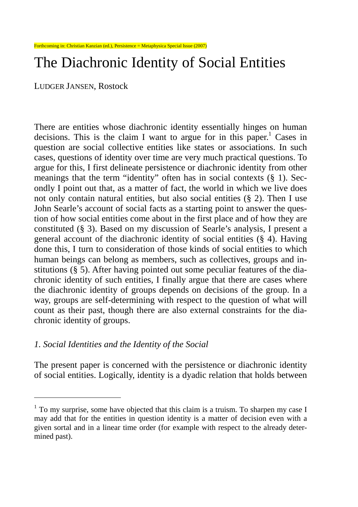# The Diachronic Identity of Social Entities

LUDGER JANSEN, Rostock

There are entities whose diachronic identity essentially hinges on human decisions. This is the claim I want to argue for in this paper.<sup>1</sup> Cases in question are social collective entities like states or associations. In such cases, questions of identity over time are very much practical questions. To argue for this, I first delineate persistence or diachronic identity from other meanings that the term "identity" often has in social contexts (§ 1). Secondly I point out that, as a matter of fact, the world in which we live does not only contain natural entities, but also social entities (§ 2). Then I use John Searle's account of social facts as a starting point to answer the question of how social entities come about in the first place and of how they are constituted (§ 3). Based on my discussion of Searle's analysis, I present a general account of the diachronic identity of social entities (§ 4). Having done this, I turn to consideration of those kinds of social entities to which human beings can belong as members, such as collectives, groups and institutions (§ 5). After having pointed out some peculiar features of the diachronic identity of such entities, I finally argue that there are cases where the diachronic identity of groups depends on decisions of the group. In a way, groups are self-determining with respect to the question of what will count as their past, though there are also external constraints for the diachronic identity of groups.

## *1. Social Identities and the Identity of the Social*

 $\overline{a}$ 

The present paper is concerned with the persistence or diachronic identity of social entities. Logically, identity is a dyadic relation that holds between

<sup>&</sup>lt;sup>1</sup> To my surprise, some have objected that this claim is a truism. To sharpen my case I may add that for the entities in question identity is a matter of decision even with a given sortal and in a linear time order (for example with respect to the already determined past).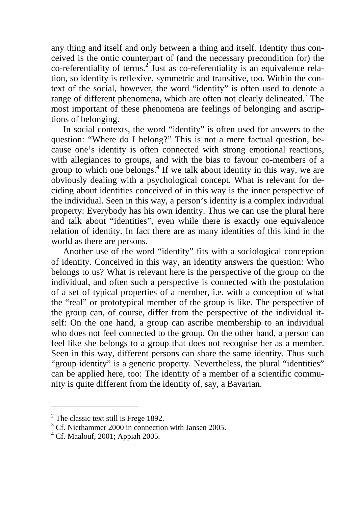any thing and itself and only between a thing and itself. Identity thus conceived is the ontic counterpart of (and the necessary precondition for) the co-referentiality of terms.<sup>2</sup> Just as co-referentiality is an equivalence relation, so identity is reflexive, symmetric and transitive, too. Within the context of the social, however, the word "identity" is often used to denote a range of different phenomena, which are often not clearly delineated.<sup>3</sup> The most important of these phenomena are feelings of belonging and ascriptions of belonging.

In social contexts, the word "identity" is often used for answers to the question: "Where do I belong?" This is not a mere factual question, because one's identity is often connected with strong emotional reactions, with allegiances to groups, and with the bias to favour co-members of a group to which one belongs.<sup>4</sup> If we talk about identity in this way, we are obviously dealing with a psychological concept. What is relevant for deciding about identities conceived of in this way is the inner perspective of the individual. Seen in this way, a person's identity is a complex individual property: Everybody has his own identity. Thus we can use the plural here and talk about "identities", even while there is exactly one equivalence relation of identity. In fact there are as many identities of this kind in the world as there are persons.

Another use of the word "identity" fits with a sociological conception of identity. Conceived in this way, an identity answers the question: Who belongs to us? What is relevant here is the perspective of the group on the individual, and often such a perspective is connected with the postulation of a set of typical properties of a member, i.e. with a conception of what the "real" or prototypical member of the group is like. The perspective of the group can, of course, differ from the perspective of the individual itself: On the one hand, a group can ascribe membership to an individual who does not feel connected to the group. On the other hand, a person can feel like she belongs to a group that does not recognise her as a member. Seen in this way, different persons can share the same identity. Thus such "group identity" is a generic property. Nevertheless, the plural "identities" can be applied here, too: The identity of a member of a scientific community is quite different from the identity of, say, a Bavarian.

<sup>&</sup>lt;sup>2</sup> The classic text still is Frege 1892.

<sup>&</sup>lt;sup>3</sup> Cf. Niethammer 2000 in connection with Jansen 2005.

<sup>4</sup> Cf. Maalouf, 2001; Appiah 2005.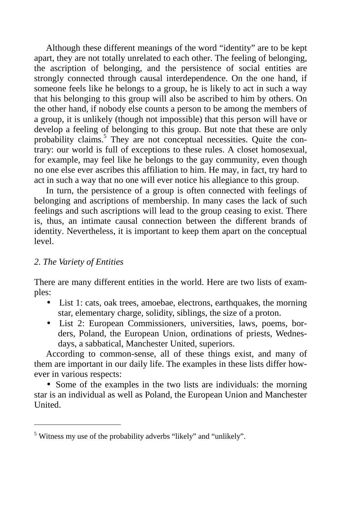Although these different meanings of the word "identity" are to be kept apart, they are not totally unrelated to each other. The feeling of belonging, the ascription of belonging, and the persistence of social entities are strongly connected through causal interdependence. On the one hand, if someone feels like he belongs to a group, he is likely to act in such a way that his belonging to this group will also be ascribed to him by others. On the other hand, if nobody else counts a person to be among the members of a group, it is unlikely (though not impossible) that this person will have or develop a feeling of belonging to this group. But note that these are only probability claims.<sup>5</sup> They are not conceptual necessities. Quite the contrary: our world is full of exceptions to these rules. A closet homosexual, for example, may feel like he belongs to the gay community, even though no one else ever ascribes this affiliation to him. He may, in fact, try hard to act in such a way that no one will ever notice his allegiance to this group.

In turn, the persistence of a group is often connected with feelings of belonging and ascriptions of membership. In many cases the lack of such feelings and such ascriptions will lead to the group ceasing to exist. There is, thus, an intimate causal connection between the different brands of identity. Nevertheless, it is important to keep them apart on the conceptual level.

## *2. The Variety of Entities*

 $\overline{a}$ 

There are many different entities in the world. Here are two lists of examples:

- List 1: cats, oak trees, amoebae, electrons, earthquakes, the morning star, elementary charge, solidity, siblings, the size of a proton.
- List 2: European Commissioners, universities, laws, poems, borders, Poland, the European Union, ordinations of priests, Wednesdays, a sabbatical, Manchester United, superiors.

According to common-sense, all of these things exist, and many of them are important in our daily life. The examples in these lists differ however in various respects:

• Some of the examples in the two lists are individuals: the morning star is an individual as well as Poland, the European Union and Manchester United.

<sup>&</sup>lt;sup>5</sup> Witness my use of the probability adverbs "likely" and "unlikely".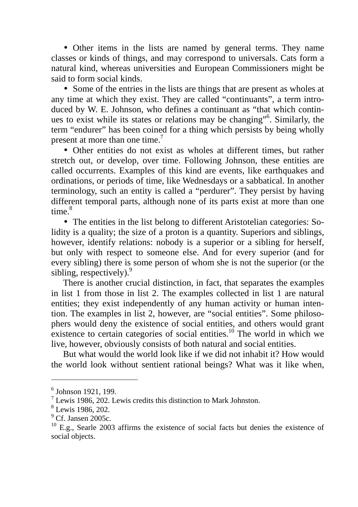• Other items in the lists are named by general terms. They name classes or kinds of things, and may correspond to universals. Cats form a natural kind, whereas universities and European Commissioners might be said to form social kinds.

• Some of the entries in the lists are things that are present as wholes at any time at which they exist. They are called "continuants", a term introduced by W. E. Johnson, who defines a continuant as "that which continues to exist while its states or relations may be changing"<sup>6</sup>. Similarly, the term "endurer" has been coined for a thing which persists by being wholly present at more than one time.<sup>7</sup>

• Other entities do not exist as wholes at different times, but rather stretch out, or develop, over time. Following Johnson, these entities are called occurrents. Examples of this kind are events, like earthquakes and ordinations, or periods of time, like Wednesdays or a sabbatical. In another terminology, such an entity is called a "perdurer". They persist by having different temporal parts, although none of its parts exist at more than one  $time.<sup>8</sup>$ 

• The entities in the list belong to different Aristotelian categories: Solidity is a quality; the size of a proton is a quantity. Superiors and siblings, however, identify relations: nobody is a superior or a sibling for herself, but only with respect to someone else. And for every superior (and for every sibling) there is some person of whom she is not the superior (or the sibling, respectively). $\frac{9}{2}$ 

There is another crucial distinction, in fact, that separates the examples in list 1 from those in list 2. The examples collected in list 1 are natural entities; they exist independently of any human activity or human intention. The examples in list 2, however, are "social entities". Some philosophers would deny the existence of social entities, and others would grant existence to certain categories of social entities.<sup>10</sup> The world in which we live, however, obviously consists of both natural and social entities.

But what would the world look like if we did not inhabit it? How would the world look without sentient rational beings? What was it like when,

<sup>6</sup> Johnson 1921, 199.

 $<sup>7</sup>$  Lewis 1986, 202. Lewis credits this distinction to Mark Johnston.</sup>

<sup>8</sup> Lewis 1986, 202.

<sup>&</sup>lt;sup>9</sup> Cf. Jansen 2005c.

 $10$  E.g., Searle 2003 affirms the existence of social facts but denies the existence of social objects.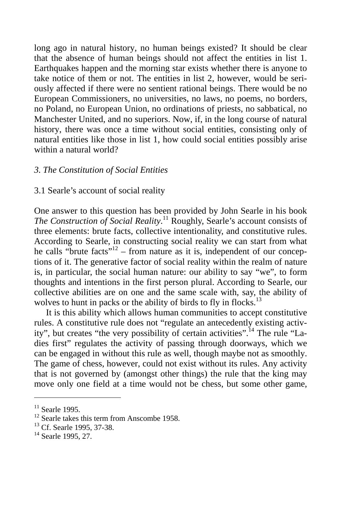long ago in natural history, no human beings existed? It should be clear that the absence of human beings should not affect the entities in list 1. Earthquakes happen and the morning star exists whether there is anyone to take notice of them or not. The entities in list 2, however, would be seriously affected if there were no sentient rational beings. There would be no European Commissioners, no universities, no laws, no poems, no borders, no Poland, no European Union, no ordinations of priests, no sabbatical, no Manchester United, and no superiors. Now, if, in the long course of natural history, there was once a time without social entities, consisting only of natural entities like those in list 1, how could social entities possibly arise within a natural world?

## *3. The Constitution of Social Entities*

#### 3.1 Searle's account of social reality

One answer to this question has been provided by John Searle in his book The Construction of Social Reality.<sup>11</sup> Roughly, Searle's account consists of three elements: brute facts, collective intentionality, and constitutive rules. According to Searle, in constructing social reality we can start from what he calls "brute facts"<sup>12</sup> – from nature as it is, independent of our conceptions of it. The generative factor of social reality within the realm of nature is, in particular, the social human nature: our ability to say "we", to form thoughts and intentions in the first person plural. According to Searle, our collective abilities are on one and the same scale with, say, the ability of wolves to hunt in packs or the ability of birds to fly in flocks.<sup>13</sup>

It is this ability which allows human communities to accept constitutive rules. A constitutive rule does not "regulate an antecedently existing activity", but creates "the very possibility of certain activities".<sup>14</sup> The rule "Ladies first" regulates the activity of passing through doorways, which we can be engaged in without this rule as well, though maybe not as smoothly. The game of chess, however, could not exist without its rules. Any activity that is not governed by (amongst other things) the rule that the king may move only one field at a time would not be chess, but some other game,

 $11$  Searle 1995.

<sup>&</sup>lt;sup>12</sup> Searle takes this term from Anscombe 1958.

<sup>&</sup>lt;sup>13</sup> Cf. Searle 1995, 37-38.

 $14$  Searle 1995, 27.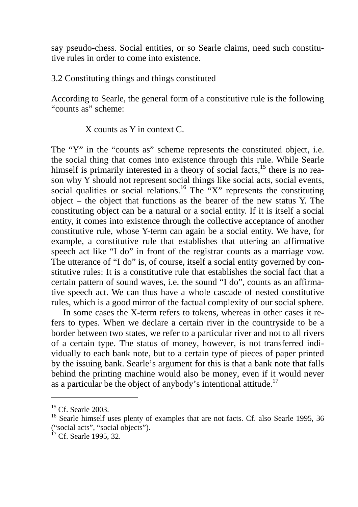say pseudo-chess. Social entities, or so Searle claims, need such constitutive rules in order to come into existence.

3.2 Constituting things and things constituted

According to Searle, the general form of a constitutive rule is the following "counts as" scheme:

X counts as Y in context C.

The "Y" in the "counts as" scheme represents the constituted object, i.e. the social thing that comes into existence through this rule. While Searle himself is primarily interested in a theory of social facts,<sup>15</sup> there is no reason why Y should not represent social things like social acts, social events, social qualities or social relations.<sup>16</sup> The "X" represents the constituting object – the object that functions as the bearer of the new status Y. The constituting object can be a natural or a social entity. If it is itself a social entity, it comes into existence through the collective acceptance of another constitutive rule, whose Y-term can again be a social entity. We have, for example, a constitutive rule that establishes that uttering an affirmative speech act like "I do" in front of the registrar counts as a marriage vow. The utterance of "I do" is, of course, itself a social entity governed by constitutive rules: It is a constitutive rule that establishes the social fact that a certain pattern of sound waves, i.e. the sound "I do", counts as an affirmative speech act. We can thus have a whole cascade of nested constitutive rules, which is a good mirror of the factual complexity of our social sphere.

In some cases the X-term refers to tokens, whereas in other cases it refers to types. When we declare a certain river in the countryside to be a border between two states, we refer to a particular river and not to all rivers of a certain type. The status of money, however, is not transferred individually to each bank note, but to a certain type of pieces of paper printed by the issuing bank. Searle's argument for this is that a bank note that falls behind the printing machine would also be money, even if it would never as a particular be the object of anybody's intentional attitude.<sup>17</sup>

 $15$  Cf. Searle 2003.

<sup>&</sup>lt;sup>16</sup> Searle himself uses plenty of examples that are not facts. Cf. also Searle 1995, 36 ("social acts", "social objects").

<sup>&</sup>lt;sup>17</sup> Cf. Searle 1995, 32.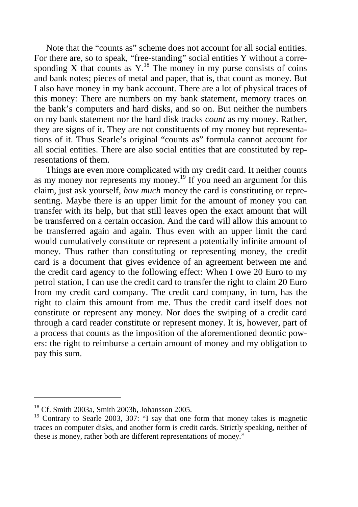Note that the "counts as" scheme does not account for all social entities. For there are, so to speak, "free-standing" social entities Y without a corresponding X that counts as  $Y<sup>18</sup>$ . The money in my purse consists of coins and bank notes; pieces of metal and paper, that is, that count as money. But I also have money in my bank account. There are a lot of physical traces of this money: There are numbers on my bank statement, memory traces on the bank's computers and hard disks, and so on. But neither the numbers on my bank statement nor the hard disk tracks *count* as my money. Rather, they are signs of it. They are not constituents of my money but representations of it. Thus Searle's original "counts as" formula cannot account for all social entities. There are also social entities that are constituted by representations of them.

Things are even more complicated with my credit card. It neither counts as my money nor represents my money.<sup>19</sup> If you need an argument for this claim, just ask yourself, *how much* money the card is constituting or representing. Maybe there is an upper limit for the amount of money you can transfer with its help, but that still leaves open the exact amount that will be transferred on a certain occasion. And the card will allow this amount to be transferred again and again. Thus even with an upper limit the card would cumulatively constitute or represent a potentially infinite amount of money. Thus rather than constituting or representing money, the credit card is a document that gives evidence of an agreement between me and the credit card agency to the following effect: When I owe 20 Euro to my petrol station, I can use the credit card to transfer the right to claim 20 Euro from my credit card company. The credit card company, in turn, has the right to claim this amount from me. Thus the credit card itself does not constitute or represent any money. Nor does the swiping of a credit card through a card reader constitute or represent money. It is, however, part of a process that counts as the imposition of the aforementioned deontic powers: the right to reimburse a certain amount of money and my obligation to pay this sum.

<sup>18</sup> Cf. Smith 2003a, Smith 2003b, Johansson 2005.

 $19$  Contrary to Searle 2003, 307: "I say that one form that money takes is magnetic traces on computer disks, and another form is credit cards. Strictly speaking, neither of these is money, rather both are different representations of money."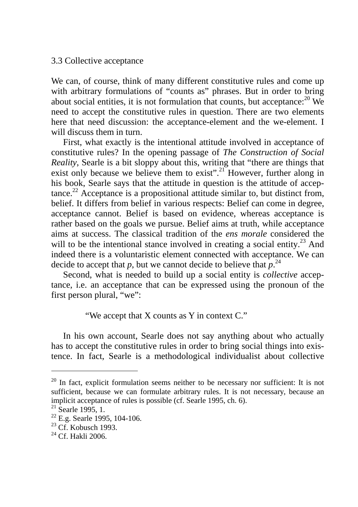#### 3.3 Collective acceptance

We can, of course, think of many different constitutive rules and come up with arbitrary formulations of "counts as" phrases. But in order to bring about social entities, it is not formulation that counts, but acceptance: $^{20}$  We need to accept the constitutive rules in question. There are two elements here that need discussion: the acceptance-element and the we-element. I will discuss them in turn.

First, what exactly is the intentional attitude involved in acceptance of constitutive rules? In the opening passage of *The Construction of Social Reality*, Searle is a bit sloppy about this, writing that "there are things that exist only because we believe them to exist".<sup>21</sup> However, further along in his book, Searle says that the attitude in question is the attitude of acceptance.<sup>22</sup> Acceptance is a propositional attitude similar to, but distinct from, belief. It differs from belief in various respects: Belief can come in degree, acceptance cannot. Belief is based on evidence, whereas acceptance is rather based on the goals we pursue. Belief aims at truth, while acceptance aims at success. The classical tradition of the *ens morale* considered the will to be the intentional stance involved in creating a social entity.<sup>23</sup> And indeed there is a voluntaristic element connected with acceptance. We can decide to accept that p, but we cannot decide to believe that  $p^{24}$ .

Second, what is needed to build up a social entity is *collective* acceptance, i.e. an acceptance that can be expressed using the pronoun of the first person plural, "we":

"We accept that X counts as Y in context C."

In his own account, Searle does not say anything about who actually has to accept the constitutive rules in order to bring social things into existence. In fact, Searle is a methodological individualist about collective

 $20$  In fact, explicit formulation seems neither to be necessary nor sufficient: It is not sufficient, because we can formulate arbitrary rules. It is not necessary, because an implicit acceptance of rules is possible (cf. Searle 1995, ch. 6).

 $21$  Searle 1995, 1.

 $22$  E.g. Searle 1995, 104-106.

 $23$  Cf. Kobusch 1993.

 $24$  Cf. Hakli 2006.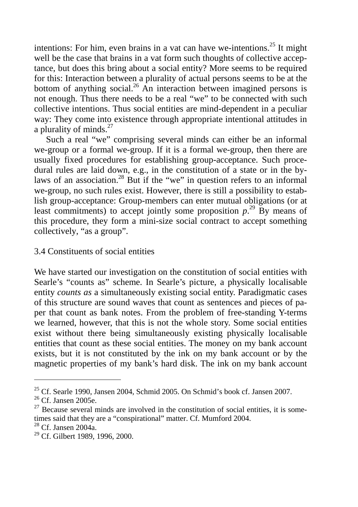intentions: For him, even brains in a vat can have we-intentions.<sup>25</sup> It might well be the case that brains in a vat form such thoughts of collective acceptance, but does this bring about a social entity? More seems to be required for this: Interaction between a plurality of actual persons seems to be at the bottom of anything social.<sup>26</sup> An interaction between imagined persons is not enough. Thus there needs to be a real "we" to be connected with such collective intentions. Thus social entities are mind-dependent in a peculiar way: They come into existence through appropriate intentional attitudes in a plurality of minds. $27$ 

Such a real "we" comprising several minds can either be an informal we-group or a formal we-group. If it is a formal we-group, then there are usually fixed procedures for establishing group-acceptance. Such procedural rules are laid down, e.g., in the constitution of a state or in the bylaws of an association.<sup>28</sup> But if the "we" in question refers to an informal we-group, no such rules exist. However, there is still a possibility to establish group-acceptance: Group-members can enter mutual obligations (or at least commitments) to accept jointly some proposition  $p^{29}$ . By means of this procedure, they form a mini-size social contract to accept something collectively, "as a group".

## 3.4 Constituents of social entities

We have started our investigation on the constitution of social entities with Searle's "counts as" scheme. In Searle's picture, a physically localisable entity *counts as* a simultaneously existing social entity. Paradigmatic cases of this structure are sound waves that count as sentences and pieces of paper that count as bank notes. From the problem of free-standing Y-terms we learned, however, that this is not the whole story. Some social entities exist without there being simultaneously existing physically localisable entities that count as these social entities. The money on my bank account exists, but it is not constituted by the ink on my bank account or by the magnetic properties of my bank's hard disk. The ink on my bank account

 $25$  Cf. Searle 1990, Jansen 2004, Schmid 2005. On Schmid's book cf. Jansen 2007.

 $26$  Cf. Jansen 2005e.

 $27$  Because several minds are involved in the constitution of social entities, it is sometimes said that they are a "conspirational" matter. Cf. Mumford 2004.

 $28$  Cf. Jansen 2004a.

 $29$  Cf. Gilbert 1989, 1996, 2000.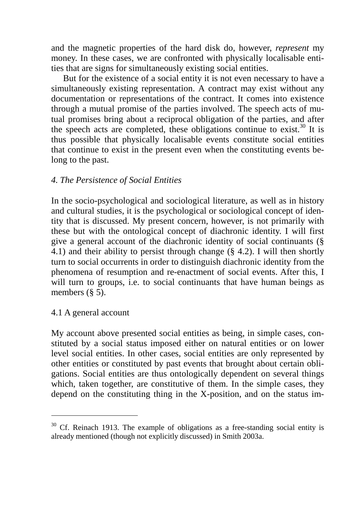and the magnetic properties of the hard disk do, however, *represent* my money. In these cases, we are confronted with physically localisable entities that are signs for simultaneously existing social entities.

But for the existence of a social entity it is not even necessary to have a simultaneously existing representation. A contract may exist without any documentation or representations of the contract. It comes into existence through a mutual promise of the parties involved. The speech acts of mutual promises bring about a reciprocal obligation of the parties, and after the speech acts are completed, these obligations continue to exist.<sup>30</sup> It is thus possible that physically localisable events constitute social entities that continue to exist in the present even when the constituting events belong to the past.

# *4. The Persistence of Social Entities*

In the socio-psychological and sociological literature, as well as in history and cultural studies, it is the psychological or sociological concept of identity that is discussed. My present concern, however, is not primarily with these but with the ontological concept of diachronic identity. I will first give a general account of the diachronic identity of social continuants (§ 4.1) and their ability to persist through change (§ 4.2). I will then shortly turn to social occurrents in order to distinguish diachronic identity from the phenomena of resumption and re-enactment of social events. After this, I will turn to groups, i.e. to social continuants that have human beings as members  $(\S 5)$ .

## 4.1 A general account

 $\overline{a}$ 

My account above presented social entities as being, in simple cases, constituted by a social status imposed either on natural entities or on lower level social entities. In other cases, social entities are only represented by other entities or constituted by past events that brought about certain obligations. Social entities are thus ontologically dependent on several things which, taken together, are constitutive of them. In the simple cases, they depend on the constituting thing in the X-position, and on the status im-

 $30$  Cf. Reinach 1913. The example of obligations as a free-standing social entity is already mentioned (though not explicitly discussed) in Smith 2003a.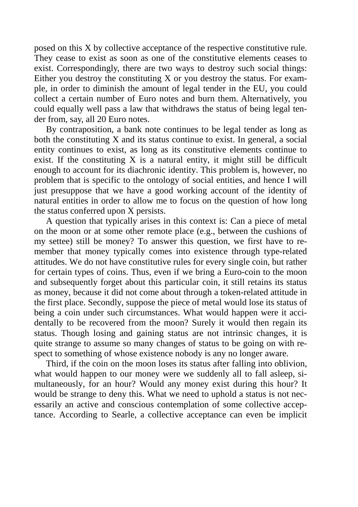posed on this X by collective acceptance of the respective constitutive rule. They cease to exist as soon as one of the constitutive elements ceases to exist. Correspondingly, there are two ways to destroy such social things: Either you destroy the constituting  $X$  or you destroy the status. For example, in order to diminish the amount of legal tender in the EU, you could collect a certain number of Euro notes and burn them. Alternatively, you could equally well pass a law that withdraws the status of being legal tender from, say, all 20 Euro notes.

By contraposition, a bank note continues to be legal tender as long as both the constituting X and its status continue to exist. In general, a social entity continues to exist, as long as its constitutive elements continue to exist. If the constituting X is a natural entity, it might still be difficult enough to account for its diachronic identity. This problem is, however, no problem that is specific to the ontology of social entities, and hence I will just presuppose that we have a good working account of the identity of natural entities in order to allow me to focus on the question of how long the status conferred upon X persists.

A question that typically arises in this context is: Can a piece of metal on the moon or at some other remote place (e.g., between the cushions of my settee) still be money? To answer this question, we first have to remember that money typically comes into existence through type-related attitudes. We do not have constitutive rules for every single coin, but rather for certain types of coins. Thus, even if we bring a Euro-coin to the moon and subsequently forget about this particular coin, it still retains its status as money, because it did not come about through a token-related attitude in the first place. Secondly, suppose the piece of metal would lose its status of being a coin under such circumstances. What would happen were it accidentally to be recovered from the moon? Surely it would then regain its status. Though losing and gaining status are not intrinsic changes, it is quite strange to assume so many changes of status to be going on with respect to something of whose existence nobody is any no longer aware.

Third, if the coin on the moon loses its status after falling into oblivion, what would happen to our money were we suddenly all to fall asleep, simultaneously, for an hour? Would any money exist during this hour? It would be strange to deny this. What we need to uphold a status is not necessarily an active and conscious contemplation of some collective acceptance. According to Searle, a collective acceptance can even be implicit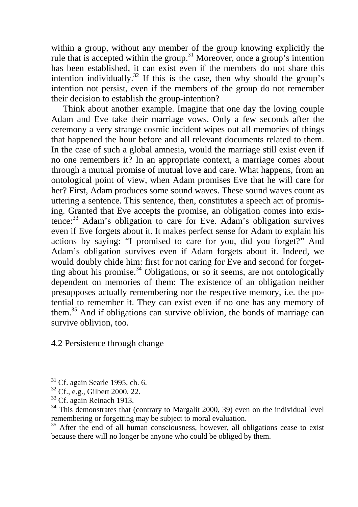within a group, without any member of the group knowing explicitly the rule that is accepted within the group.<sup>31</sup> Moreover, once a group's intention has been established, it can exist even if the members do not share this intention individually.<sup>32</sup> If this is the case, then why should the group's intention not persist, even if the members of the group do not remember their decision to establish the group-intention?

Think about another example. Imagine that one day the loving couple Adam and Eve take their marriage vows. Only a few seconds after the ceremony a very strange cosmic incident wipes out all memories of things that happened the hour before and all relevant documents related to them. In the case of such a global amnesia, would the marriage still exist even if no one remembers it? In an appropriate context, a marriage comes about through a mutual promise of mutual love and care. What happens, from an ontological point of view, when Adam promises Eve that he will care for her? First, Adam produces some sound waves. These sound waves count as uttering a sentence. This sentence, then, constitutes a speech act of promising. Granted that Eve accepts the promise, an obligation comes into existence:<sup>33</sup> Adam's obligation to care for Eve. Adam's obligation survives even if Eve forgets about it. It makes perfect sense for Adam to explain his actions by saying: "I promised to care for you, did you forget?" And Adam's obligation survives even if Adam forgets about it. Indeed, we would doubly chide him: first for not caring for Eve and second for forgetting about his promise.<sup>34</sup> Obligations, or so it seems, are not ontologically dependent on memories of them: The existence of an obligation neither presupposes actually remembering nor the respective memory, i.e. the potential to remember it. They can exist even if no one has any memory of them.<sup>35</sup> And if obligations can survive oblivion, the bonds of marriage can survive oblivion, too.

4.2 Persistence through change

 $31$  Cf. again Searle 1995, ch. 6.

 $32 \text{ Cf., e.g., Gilbert } 2000, 22.$ 

<sup>&</sup>lt;sup>33</sup> Cf. again Reinach 1913.

<sup>&</sup>lt;sup>34</sup> This demonstrates that (contrary to Margalit 2000, 39) even on the individual level remembering or forgetting may be subject to moral evaluation.

<sup>&</sup>lt;sup>35</sup> After the end of all human consciousness, however, all obligations cease to exist because there will no longer be anyone who could be obliged by them.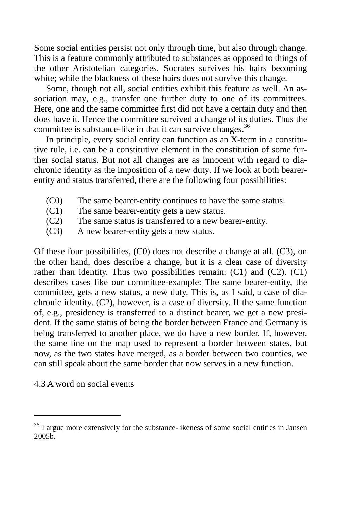Some social entities persist not only through time, but also through change. This is a feature commonly attributed to substances as opposed to things of the other Aristotelian categories. Socrates survives his hairs becoming white; while the blackness of these hairs does not survive this change.

Some, though not all, social entities exhibit this feature as well. An association may, e.g., transfer one further duty to one of its committees. Here, one and the same committee first did not have a certain duty and then does have it. Hence the committee survived a change of its duties. Thus the committee is substance-like in that it can survive changes.  $36$ 

In principle, every social entity can function as an X-term in a constitutive rule, i.e. can be a constitutive element in the constitution of some further social status. But not all changes are as innocent with regard to diachronic identity as the imposition of a new duty. If we look at both bearerentity and status transferred, there are the following four possibilities:

- (C0) The same bearer-entity continues to have the same status.
- (C1) The same bearer-entity gets a new status.
- (C2) The same status is transferred to a new bearer-entity.
- (C3) A new bearer-entity gets a new status.

Of these four possibilities, (C0) does not describe a change at all. (C3), on the other hand, does describe a change, but it is a clear case of diversity rather than identity. Thus two possibilities remain:  $(C1)$  and  $(C2)$ .  $(C1)$ describes cases like our committee-example: The same bearer-entity, the committee, gets a new status, a new duty. This is, as I said, a case of diachronic identity. (C2), however, is a case of diversity. If the same function of, e.g., presidency is transferred to a distinct bearer, we get a new president. If the same status of being the border between France and Germany is being transferred to another place, we do have a new border. If, however, the same line on the map used to represent a border between states, but now, as the two states have merged, as a border between two counties, we can still speak about the same border that now serves in a new function.

4.3 A word on social events

<sup>&</sup>lt;sup>36</sup> I argue more extensively for the substance-likeness of some social entities in Jansen 2005b.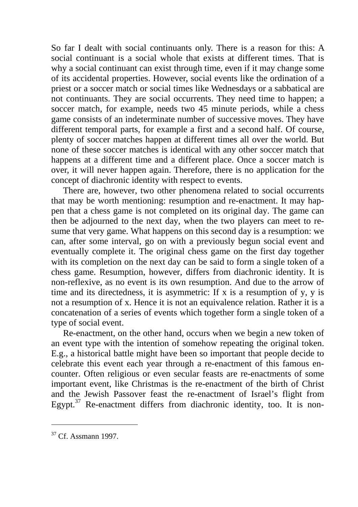So far I dealt with social continuants only. There is a reason for this: A social continuant is a social whole that exists at different times. That is why a social continuant can exist through time, even if it may change some of its accidental properties. However, social events like the ordination of a priest or a soccer match or social times like Wednesdays or a sabbatical are not continuants. They are social occurrents. They need time to happen; a soccer match, for example, needs two 45 minute periods, while a chess game consists of an indeterminate number of successive moves. They have different temporal parts, for example a first and a second half. Of course, plenty of soccer matches happen at different times all over the world. But none of these soccer matches is identical with any other soccer match that happens at a different time and a different place. Once a soccer match is over, it will never happen again. Therefore, there is no application for the concept of diachronic identity with respect to events.

There are, however, two other phenomena related to social occurrents that may be worth mentioning: resumption and re-enactment. It may happen that a chess game is not completed on its original day. The game can then be adjourned to the next day, when the two players can meet to resume that very game. What happens on this second day is a resumption: we can, after some interval, go on with a previously begun social event and eventually complete it. The original chess game on the first day together with its completion on the next day can be said to form a single token of a chess game. Resumption, however, differs from diachronic identity. It is non-reflexive, as no event is its own resumption. And due to the arrow of time and its directedness, it is asymmetric: If x is a resumption of y, y is not a resumption of x. Hence it is not an equivalence relation. Rather it is a concatenation of a series of events which together form a single token of a type of social event.

Re-enactment, on the other hand, occurs when we begin a new token of an event type with the intention of somehow repeating the original token. E.g., a historical battle might have been so important that people decide to celebrate this event each year through a re-enactment of this famous encounter. Often religious or even secular feasts are re-enactments of some important event, like Christmas is the re-enactment of the birth of Christ and the Jewish Passover feast the re-enactment of Israel's flight from Egypt.<sup>37</sup> Re-enactment differs from diachronic identity, too. It is non-

<sup>37</sup> Cf. Assmann 1997.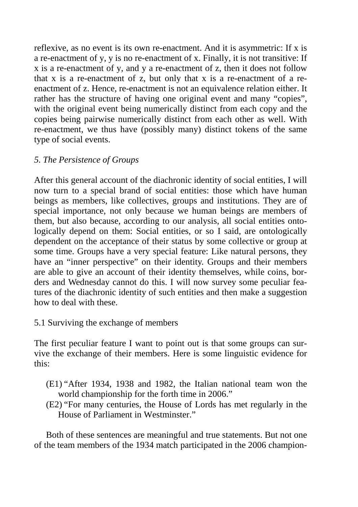reflexive, as no event is its own re-enactment. And it is asymmetric: If x is a re-enactment of y, y is no re-enactment of x. Finally, it is not transitive: If x is a re-enactment of y, and y a re-enactment of z, then it does not follow that x is a re-enactment of z, but only that x is a re-enactment of a reenactment of z. Hence, re-enactment is not an equivalence relation either. It rather has the structure of having one original event and many "copies", with the original event being numerically distinct from each copy and the copies being pairwise numerically distinct from each other as well. With re-enactment, we thus have (possibly many) distinct tokens of the same type of social events.

# *5. The Persistence of Groups*

After this general account of the diachronic identity of social entities, I will now turn to a special brand of social entities: those which have human beings as members, like collectives, groups and institutions. They are of special importance, not only because we human beings are members of them, but also because, according to our analysis, all social entities ontologically depend on them: Social entities, or so I said, are ontologically dependent on the acceptance of their status by some collective or group at some time. Groups have a very special feature: Like natural persons, they have an "inner perspective" on their identity. Groups and their members are able to give an account of their identity themselves, while coins, borders and Wednesday cannot do this. I will now survey some peculiar features of the diachronic identity of such entities and then make a suggestion how to deal with these.

5.1 Surviving the exchange of members

The first peculiar feature I want to point out is that some groups can survive the exchange of their members. Here is some linguistic evidence for this:

- (E1) "After 1934, 1938 and 1982, the Italian national team won the world championship for the forth time in 2006."
- (E2) "For many centuries, the House of Lords has met regularly in the House of Parliament in Westminster."

Both of these sentences are meaningful and true statements. But not one of the team members of the 1934 match participated in the 2006 champion-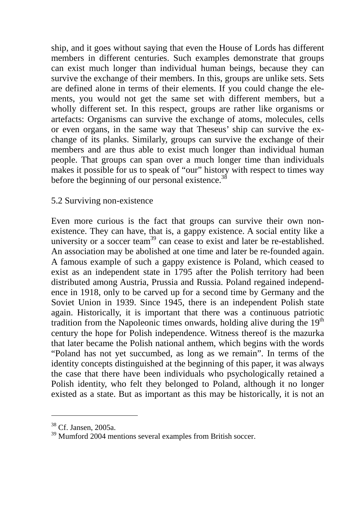ship, and it goes without saying that even the House of Lords has different members in different centuries. Such examples demonstrate that groups can exist much longer than individual human beings, because they can survive the exchange of their members. In this, groups are unlike sets. Sets are defined alone in terms of their elements. If you could change the elements, you would not get the same set with different members, but a wholly different set. In this respect, groups are rather like organisms or artefacts: Organisms can survive the exchange of atoms, molecules, cells or even organs, in the same way that Theseus' ship can survive the exchange of its planks. Similarly, groups can survive the exchange of their members and are thus able to exist much longer than individual human people. That groups can span over a much longer time than individuals makes it possible for us to speak of "our" history with respect to times way before the beginning of our personal existence.<sup>38</sup>

## 5.2 Surviving non-existence

Even more curious is the fact that groups can survive their own nonexistence. They can have, that is, a gappy existence. A social entity like a university or a soccer team<sup>39</sup> can cease to exist and later be re-established. An association may be abolished at one time and later be re-founded again. A famous example of such a gappy existence is Poland, which ceased to exist as an independent state in 1795 after the Polish territory had been distributed among Austria, Prussia and Russia. Poland regained independence in 1918, only to be carved up for a second time by Germany and the Soviet Union in 1939. Since 1945, there is an independent Polish state again. Historically, it is important that there was a continuous patriotic tradition from the Napoleonic times onwards, holding alive during the  $19<sup>th</sup>$ century the hope for Polish independence. Witness thereof is the mazurka that later became the Polish national anthem, which begins with the words "Poland has not yet succumbed, as long as we remain". In terms of the identity concepts distinguished at the beginning of this paper, it was always the case that there have been individuals who psychologically retained a Polish identity, who felt they belonged to Poland, although it no longer existed as a state. But as important as this may be historically, it is not an

<sup>38</sup> Cf. Jansen, 2005a.

<sup>&</sup>lt;sup>39</sup> Mumford 2004 mentions several examples from British soccer.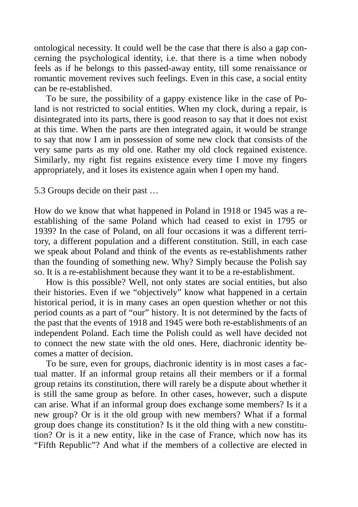ontological necessity. It could well be the case that there is also a gap concerning the psychological identity, i.e. that there is a time when nobody feels as if he belongs to this passed-away entity, till some renaissance or romantic movement revives such feelings. Even in this case, a social entity can be re-established.

To be sure, the possibility of a gappy existence like in the case of Poland is not restricted to social entities. When my clock, during a repair, is disintegrated into its parts, there is good reason to say that it does not exist at this time. When the parts are then integrated again, it would be strange to say that now I am in possession of some new clock that consists of the very same parts as my old one. Rather my old clock regained existence. Similarly, my right fist regains existence every time I move my fingers appropriately, and it loses its existence again when I open my hand.

5.3 Groups decide on their past …

How do we know that what happened in Poland in 1918 or 1945 was a reestablishing of the same Poland which had ceased to exist in 1795 or 1939? In the case of Poland, on all four occasions it was a different territory, a different population and a different constitution. Still, in each case we speak about Poland and think of the events as re-establishments rather than the founding of something new. Why? Simply because the Polish say so. It is a re-establishment because they want it to be a re-establishment.

How is this possible? Well, not only states are social entities, but also their histories. Even if we "objectively" know what happened in a certain historical period, it is in many cases an open question whether or not this period counts as a part of "our" history. It is not determined by the facts of the past that the events of 1918 and 1945 were both re-establishments of an independent Poland. Each time the Polish could as well have decided not to connect the new state with the old ones. Here, diachronic identity becomes a matter of decision.

To be sure, even for groups, diachronic identity is in most cases a factual matter. If an informal group retains all their members or if a formal group retains its constitution, there will rarely be a dispute about whether it is still the same group as before. In other cases, however, such a dispute can arise. What if an informal group does exchange some members? Is it a new group? Or is it the old group with new members? What if a formal group does change its constitution? Is it the old thing with a new constitution? Or is it a new entity, like in the case of France, which now has its "Fifth Republic"? And what if the members of a collective are elected in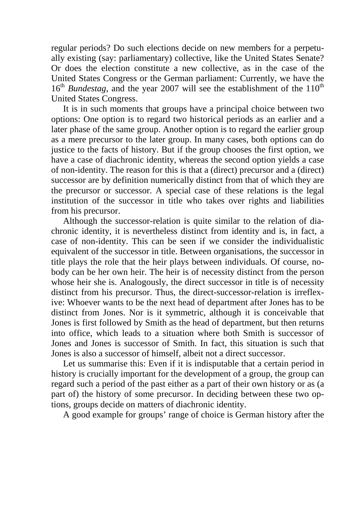regular periods? Do such elections decide on new members for a perpetually existing (say: parliamentary) collective, like the United States Senate? Or does the election constitute a new collective, as in the case of the United States Congress or the German parliament: Currently, we have the  $16<sup>th</sup>$  *Bundestag*, and the year 2007 will see the establishment of the  $110<sup>th</sup>$ United States Congress.

It is in such moments that groups have a principal choice between two options: One option is to regard two historical periods as an earlier and a later phase of the same group. Another option is to regard the earlier group as a mere precursor to the later group. In many cases, both options can do justice to the facts of history. But if the group chooses the first option, we have a case of diachronic identity, whereas the second option yields a case of non-identity. The reason for this is that a (direct) precursor and a (direct) successor are by definition numerically distinct from that of which they are the precursor or successor. A special case of these relations is the legal institution of the successor in title who takes over rights and liabilities from his precursor.

Although the successor-relation is quite similar to the relation of diachronic identity, it is nevertheless distinct from identity and is, in fact, a case of non-identity. This can be seen if we consider the individualistic equivalent of the successor in title. Between organisations, the successor in title plays the role that the heir plays between individuals. Of course, nobody can be her own heir. The heir is of necessity distinct from the person whose heir she is. Analogously, the direct successor in title is of necessity distinct from his precursor. Thus, the direct-successor-relation is irreflexive: Whoever wants to be the next head of department after Jones has to be distinct from Jones. Nor is it symmetric, although it is conceivable that Jones is first followed by Smith as the head of department, but then returns into office, which leads to a situation where both Smith is successor of Jones and Jones is successor of Smith. In fact, this situation is such that Jones is also a successor of himself, albeit not a direct successor.

Let us summarise this: Even if it is indisputable that a certain period in history is crucially important for the development of a group, the group can regard such a period of the past either as a part of their own history or as (a part of) the history of some precursor. In deciding between these two options, groups decide on matters of diachronic identity.

A good example for groups' range of choice is German history after the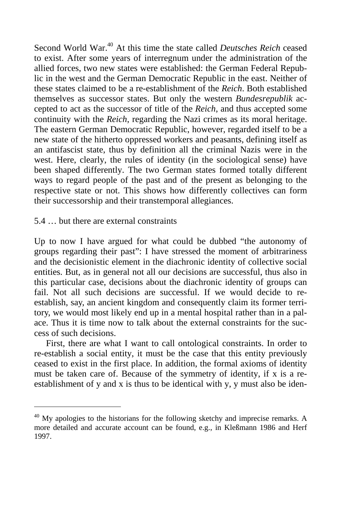Second World War.<sup>40</sup> At this time the state called *Deutsches Reich* ceased to exist. After some years of interregnum under the administration of the allied forces, two new states were established: the German Federal Republic in the west and the German Democratic Republic in the east. Neither of these states claimed to be a re-establishment of the *Reich*. Both established themselves as successor states. But only the western *Bundesrepublik* accepted to act as the successor of title of the *Reich*, and thus accepted some continuity with the *Reich*, regarding the Nazi crimes as its moral heritage. The eastern German Democratic Republic, however, regarded itself to be a new state of the hitherto oppressed workers and peasants, defining itself as an antifascist state, thus by definition all the criminal Nazis were in the west. Here, clearly, the rules of identity (in the sociological sense) have been shaped differently. The two German states formed totally different ways to regard people of the past and of the present as belonging to the respective state or not. This shows how differently collectives can form their successorship and their transtemporal allegiances.

## 5.4 … but there are external constraints

 $\overline{a}$ 

Up to now I have argued for what could be dubbed "the autonomy of groups regarding their past": I have stressed the moment of arbitrariness and the decisionistic element in the diachronic identity of collective social entities. But, as in general not all our decisions are successful, thus also in this particular case, decisions about the diachronic identity of groups can fail. Not all such decisions are successful. If we would decide to reestablish, say, an ancient kingdom and consequently claim its former territory, we would most likely end up in a mental hospital rather than in a palace. Thus it is time now to talk about the external constraints for the success of such decisions.

First, there are what I want to call ontological constraints. In order to re-establish a social entity, it must be the case that this entity previously ceased to exist in the first place. In addition, the formal axioms of identity must be taken care of. Because of the symmetry of identity, if x is a reestablishment of y and x is thus to be identical with y, y must also be iden-

 $^{40}$  My apologies to the historians for the following sketchy and imprecise remarks. A more detailed and accurate account can be found, e.g., in Kleßmann 1986 and Herf 1997.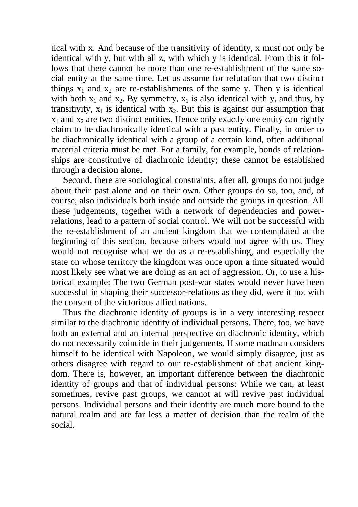tical with x. And because of the transitivity of identity, x must not only be identical with y, but with all z, with which y is identical. From this it follows that there cannot be more than one re-establishment of the same social entity at the same time. Let us assume for refutation that two distinct things  $x_1$  and  $x_2$  are re-establishments of the same y. Then y is identical with both  $x_1$  and  $x_2$ . By symmetry,  $x_1$  is also identical with y, and thus, by transitivity,  $x_1$  is identical with  $x_2$ . But this is against our assumption that  $x_1$  and  $x_2$  are two distinct entities. Hence only exactly one entity can rightly claim to be diachronically identical with a past entity. Finally, in order to be diachronically identical with a group of a certain kind, often additional material criteria must be met. For a family, for example, bonds of relationships are constitutive of diachronic identity; these cannot be established through a decision alone.

Second, there are sociological constraints; after all, groups do not judge about their past alone and on their own. Other groups do so, too, and, of course, also individuals both inside and outside the groups in question. All these judgements, together with a network of dependencies and powerrelations, lead to a pattern of social control. We will not be successful with the re-establishment of an ancient kingdom that we contemplated at the beginning of this section, because others would not agree with us. They would not recognise what we do as a re-establishing, and especially the state on whose territory the kingdom was once upon a time situated would most likely see what we are doing as an act of aggression. Or, to use a historical example: The two German post-war states would never have been successful in shaping their successor-relations as they did, were it not with the consent of the victorious allied nations.

Thus the diachronic identity of groups is in a very interesting respect similar to the diachronic identity of individual persons. There, too, we have both an external and an internal perspective on diachronic identity, which do not necessarily coincide in their judgements. If some madman considers himself to be identical with Napoleon, we would simply disagree, just as others disagree with regard to our re-establishment of that ancient kingdom. There is, however, an important difference between the diachronic identity of groups and that of individual persons: While we can, at least sometimes, revive past groups, we cannot at will revive past individual persons. Individual persons and their identity are much more bound to the natural realm and are far less a matter of decision than the realm of the social.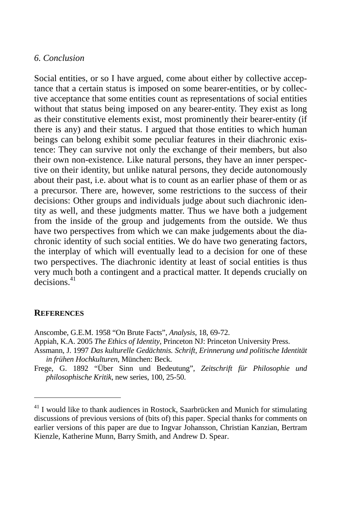#### *6. Conclusion*

Social entities, or so I have argued, come about either by collective acceptance that a certain status is imposed on some bearer-entities, or by collective acceptance that some entities count as representations of social entities without that status being imposed on any bearer-entity. They exist as long as their constitutive elements exist, most prominently their bearer-entity (if there is any) and their status. I argued that those entities to which human beings can belong exhibit some peculiar features in their diachronic existence: They can survive not only the exchange of their members, but also their own non-existence. Like natural persons, they have an inner perspective on their identity, but unlike natural persons, they decide autonomously about their past, i.e. about what is to count as an earlier phase of them or as a precursor. There are, however, some restrictions to the success of their decisions: Other groups and individuals judge about such diachronic identity as well, and these judgments matter. Thus we have both a judgement from the inside of the group and judgements from the outside. We thus have two perspectives from which we can make judgements about the diachronic identity of such social entities. We do have two generating factors, the interplay of which will eventually lead to a decision for one of these two perspectives. The diachronic identity at least of social entities is thus very much both a contingent and a practical matter. It depends crucially on  $decisions$ <sup>41</sup>

#### **REFERENCES**

- Anscombe, G.E.M. 1958 "On Brute Facts", *Analysis*, 18, 69-72.
- Appiah, K.A. 2005 *The Ethics of Identity*, Princeton NJ: Princeton University Press.
- Assmann, J. 1997 *Das kulturelle Gedächtnis. Schrift, Erinnerung und politische Identität in frühen Hochkulturen*, München: Beck.
- Frege, G. 1892 "Über Sinn und Bedeutung", *Zeitschrift für Philosophie und philosophische Kritik*, new series, 100, 25-50.

<sup>&</sup>lt;sup>41</sup> I would like to thank audiences in Rostock, Saarbrücken and Munich for stimulating discussions of previous versions of (bits of) this paper. Special thanks for comments on earlier versions of this paper are due to Ingvar Johansson, Christian Kanzian, Bertram Kienzle, Katherine Munn, Barry Smith, and Andrew D. Spear.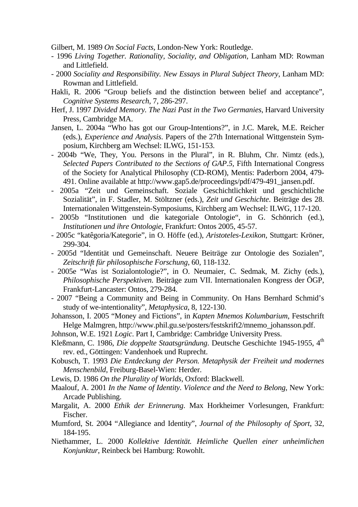Gilbert, M. 1989 *On Social Facts*, London-New York: Routledge.

- 1996 *Living Together. Rationality, Sociality, and Obligation,* Lanham MD: Rowman and Littlefield.
- 2000 *Sociality and Responsibility. New Essays in Plural Subject Theory*, Lanham MD: Rowman and Littlefield.
- Hakli, R. 2006 "Group beliefs and the distinction between belief and acceptance", *Cognitive Systems Research*, 7, 286-297.
- Herf, J. 1997 *Divided Memory. The Nazi Past in the Two Germanies*, Harvard University Press, Cambridge MA.
- Jansen, L. 2004a "Who has got our Group-Intentions?", in J.C. Marek, M.E. Reicher (eds.), *Experience and Analysis*. Papers of the 27th International Wittgenstein Symposium, Kirchberg am Wechsel: ILWG, 151-153.
- 2004b "We, They, You. Persons in the Plural", in R. Bluhm, Chr. Nimtz (eds.), *Selected Papers Contributed to the Sections of GAP.5,* Fifth International Congress of the Society for Analytical Philosophy (CD-ROM), Mentis: Paderborn 2004, 479- 491. Online available at http://www.gap5.de/proceedings/pdf/479-491 jansen.pdf.
- 2005a "Zeit und Gemeinschaft. Soziale Geschichtlichkeit und geschichtliche Sozialität", in F. Stadler, M. Stöltzner (eds.), *Zeit und Geschichte*. Beiträge des 28. Internationalen Wittgenstein-Symposiums, Kirchberg am Wechsel: ILWG, 117-120.
- 2005b "Institutionen und die kategoriale Ontologie", in G. Schönrich (ed.), *Institutionen und ihre Ontologie*, Frankfurt: Ontos 2005, 45-57.
- 2005c "katêgoria/Kategorie", in O. Höffe (ed.), *Aristoteles-Lexikon*, Stuttgart: Kröner, 299-304.
- 2005d "Identität und Gemeinschaft. Neuere Beiträge zur Ontologie des Sozialen", *Zeitschrift für philosophische Forschung*, 60, 118-132.
- 2005e "Was ist Sozialontologie?", in O. Neumaier, C. Sedmak, M. Zichy (eds.), *Philosophische Perspektiven*. Beiträge zum VII. Internationalen Kongress der ÖGP, Frankfurt-Lancaster: Ontos, 279-284.
- 2007 "Being a Community and Being in Community. On Hans Bernhard Schmid's study of we-intentionality", *Metaphysica*, 8, 122-130.
- Johansson, I. 2005 "Money and Fictions", in *Kapten Mnemos Kolumbarium*, Festschrift Helge Malmgren, http://www.phil.gu.se/posters/festskrift2/mnemo\_johansson.pdf.
- Johnson, W.E. 1921 *Logic*. Part I, Cambridge: Cambridge University Press.
- Kleßmann, C. 1986, *Die doppelte Staatsgründung*. Deutsche Geschichte 1945-1955, 4<sup>th</sup> rev. ed., Göttingen: Vandenhoek und Ruprecht.
- Kobusch, T. 1993 *Die Entdeckung der Person. Metaphysik der Freiheit und modernes Menschenbild*, Freiburg-Basel-Wien: Herder.
- Lewis, D. 1986 *On the Plurality of Worlds*, Oxford: Blackwell.
- Maalouf, A. 2001 *In the Name of Identity. Violence and the Need to Belong*, New York: Arcade Publishing.
- Margalit, A. 2000 *Ethik der Erinnerung*. Max Horkheimer Vorlesungen, Frankfurt: Fischer.
- Mumford, St. 2004 "Allegiance and Identity", *Journal of the Philosophy of Sport*, 32, 184-195.
- Niethammer, L. 2000 *Kollektive Identität. Heimliche Quellen einer unheimlichen Konjunktur*, Reinbeck bei Hamburg: Rowohlt.